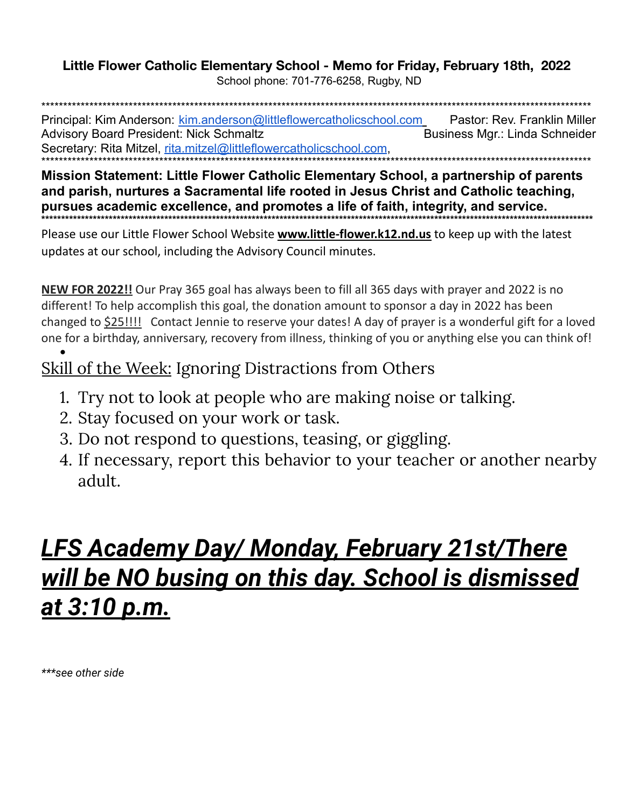## Little Flower Catholic Elementary School - Memo for Friday, February 18th, 2022

School phone: 701-776-6258, Rugby, ND

Principal: Kim Anderson: kim.anderson@littleflowercatholicschool.com Pastor: Rev. Franklin Miller **Advisory Board President: Nick Schmaltz** Business Mgr.: Linda Schneider Secretary: Rita Mitzel, rita.mitzel@littleflowercatholicschool.com.

Mission Statement: Little Flower Catholic Elementary School, a partnership of parents and parish, nurtures a Sacramental life rooted in Jesus Christ and Catholic teaching, pursues academic excellence, and promotes a life of faith, integrity, and service.

Please use our Little Flower School Website **www.little-flower.k12.nd.us** to keep up with the latest updates at our school, including the Advisory Council minutes.

NEW FOR 2022!! Our Pray 365 goal has always been to fill all 365 days with prayer and 2022 is no different! To help accomplish this goal, the donation amount to sponsor a day in 2022 has been changed to \$25!!!! Contact Jennie to reserve your dates! A day of prayer is a wonderful gift for a loved one for a birthday, anniversary, recovery from illness, thinking of you or anything else you can think of!

## Skill of the Week: Ignoring Distractions from Others

- 1. Try not to look at people who are making noise or talking.
- 2. Stay focused on your work or task.
- 3. Do not respond to questions, teasing, or giggling.
- 4. If necessary, report this behavior to your teacher or another nearby adult.

## **LFS Academy Day/ Monday, February 21st/There** will be NO busing on this day. School is dismissed <u>at 3:10 p.m.</u>

\*\*\*see other side